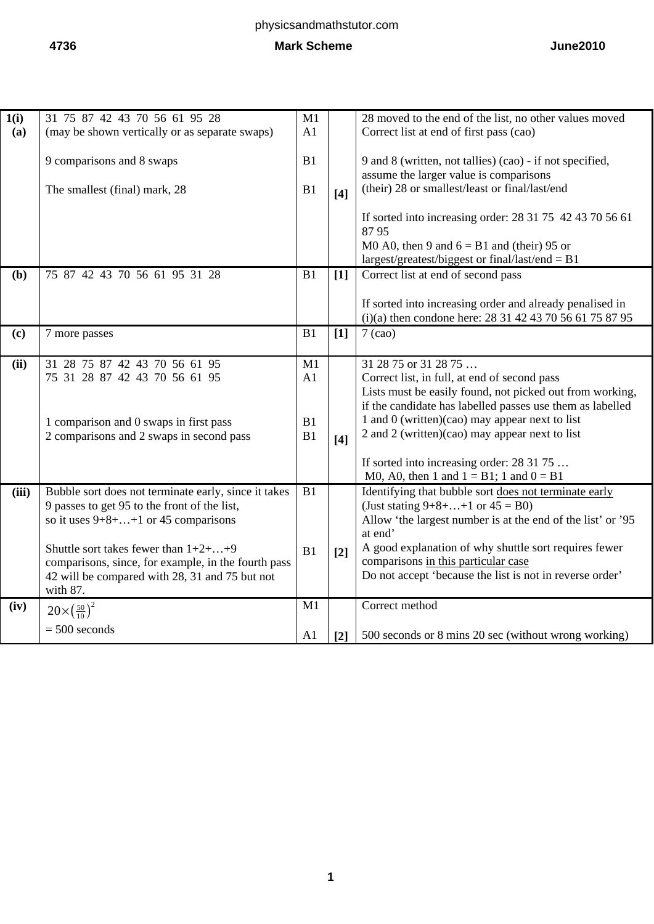| 1(i)  | 31 75 87 42 43 70 56 61 95 28                                                                                                                                                                                                                                                                                            | M1             |                   | 28 moved to the end of the list, no other values moved                                                                                                                                                                                                                                                                                                                                     |
|-------|--------------------------------------------------------------------------------------------------------------------------------------------------------------------------------------------------------------------------------------------------------------------------------------------------------------------------|----------------|-------------------|--------------------------------------------------------------------------------------------------------------------------------------------------------------------------------------------------------------------------------------------------------------------------------------------------------------------------------------------------------------------------------------------|
| (a)   | (may be shown vertically or as separate swaps)                                                                                                                                                                                                                                                                           | A1             |                   | Correct list at end of first pass (cao)                                                                                                                                                                                                                                                                                                                                                    |
|       | 9 comparisons and 8 swaps<br>The smallest (final) mark, 28                                                                                                                                                                                                                                                               | B1<br>B1       | [4]               | 9 and 8 (written, not tallies) (cao) - if not specified,<br>assume the larger value is comparisons<br>(their) 28 or smallest/least or final/last/end                                                                                                                                                                                                                                       |
|       |                                                                                                                                                                                                                                                                                                                          |                |                   | If sorted into increasing order: 28 31 75 42 43 70 56 61<br>8795<br>M0 A0, then 9 and $6 = B1$ and (their) 95 or<br>largest/greatest/biggest or final/last/end = $B1$                                                                                                                                                                                                                      |
| (b)   | 75 87 42 43 70 56 61 95 31 28                                                                                                                                                                                                                                                                                            | B1             | $[1]$             | Correct list at end of second pass                                                                                                                                                                                                                                                                                                                                                         |
|       |                                                                                                                                                                                                                                                                                                                          |                |                   | If sorted into increasing order and already penalised in<br>(i)(a) then condone here: 28 31 42 43 70 56 61 75 87 95                                                                                                                                                                                                                                                                        |
| (c)   | 7 more passes                                                                                                                                                                                                                                                                                                            | B1             | $[1]$             | $7$ (cao)                                                                                                                                                                                                                                                                                                                                                                                  |
|       |                                                                                                                                                                                                                                                                                                                          |                |                   |                                                                                                                                                                                                                                                                                                                                                                                            |
| (ii)  | 31 28 75 87 42 43 70 56 61 95                                                                                                                                                                                                                                                                                            | M1             |                   | 31 28 75 or 31 28 75                                                                                                                                                                                                                                                                                                                                                                       |
|       | 75 31 28 87 42 43 70 56 61 95<br>1 comparison and 0 swaps in first pass<br>2 comparisons and 2 swaps in second pass                                                                                                                                                                                                      | A1<br>B1<br>B1 | $[4]$             | Correct list, in full, at end of second pass<br>Lists must be easily found, not picked out from working,<br>if the candidate has labelled passes use them as labelled<br>1 and 0 (written)(cao) may appear next to list<br>2 and 2 (written)(cao) may appear next to list                                                                                                                  |
|       |                                                                                                                                                                                                                                                                                                                          |                |                   | If sorted into increasing order: 28 31 75                                                                                                                                                                                                                                                                                                                                                  |
| (iii) | Bubble sort does not terminate early, since it takes<br>9 passes to get 95 to the front of the list,<br>so it uses $9+8+\ldots+1$ or 45 comparisons<br>Shuttle sort takes fewer than $1+2+\ldots+9$<br>comparisons, since, for example, in the fourth pass<br>42 will be compared with 28, 31 and 75 but not<br>with 87. | B1<br>B1       | $[2]$             | M0, A0, then 1 and $1 = B1$ ; 1 and $0 = B1$<br>Identifying that bubble sort does not terminate early<br>(Just stating $9+8+\ldots+1$ or $45 = B0$ )<br>Allow 'the largest number is at the end of the list' or '95<br>at end'<br>A good explanation of why shuttle sort requires fewer<br>comparisons in this particular case<br>Do not accept 'because the list is not in reverse order' |
| (iv)  | $20\times(\frac{50}{10})^2$                                                                                                                                                                                                                                                                                              | M1             |                   | Correct method                                                                                                                                                                                                                                                                                                                                                                             |
|       | $= 500$ seconds                                                                                                                                                                                                                                                                                                          | A <sub>1</sub> | $\lceil 2 \rceil$ | 500 seconds or 8 mins 20 sec (without wrong working)                                                                                                                                                                                                                                                                                                                                       |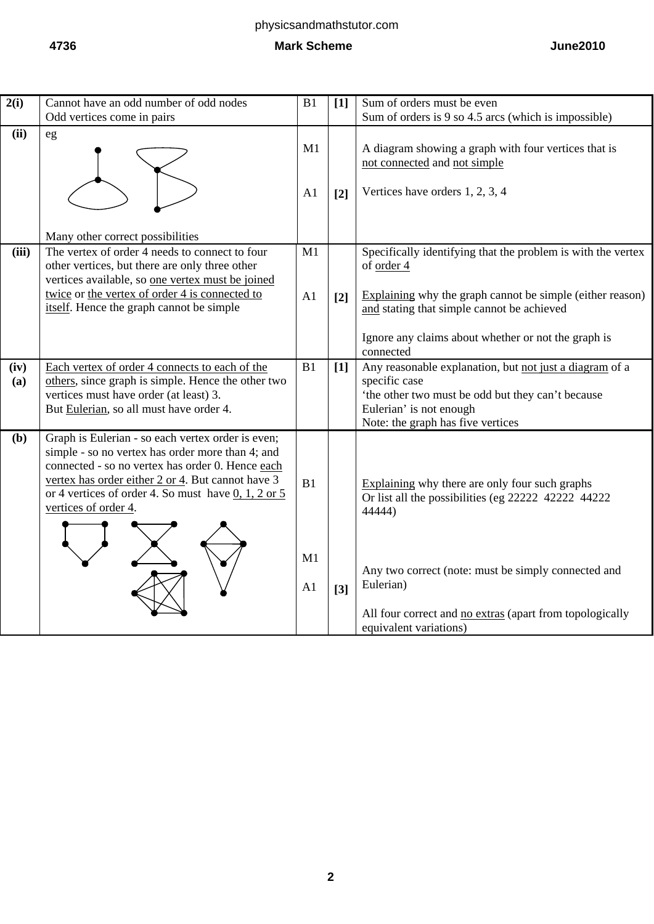| 2(i)        | Cannot have an odd number of odd nodes                                                                                                                                                                                                                                                          | B1                         | $[1]$             | Sum of orders must be even                                                                                                                                                                                                                      |
|-------------|-------------------------------------------------------------------------------------------------------------------------------------------------------------------------------------------------------------------------------------------------------------------------------------------------|----------------------------|-------------------|-------------------------------------------------------------------------------------------------------------------------------------------------------------------------------------------------------------------------------------------------|
|             | Odd vertices come in pairs                                                                                                                                                                                                                                                                      |                            |                   | Sum of orders is 9 so 4.5 arcs (which is impossible)                                                                                                                                                                                            |
| (ii)        | eg                                                                                                                                                                                                                                                                                              | M1<br>A1                   | $\lceil 2 \rceil$ | A diagram showing a graph with four vertices that is<br>not connected and not simple<br>Vertices have orders 1, 2, 3, 4                                                                                                                         |
|             | Many other correct possibilities                                                                                                                                                                                                                                                                |                            |                   |                                                                                                                                                                                                                                                 |
| (iii)       | The vertex of order 4 needs to connect to four<br>other vertices, but there are only three other<br>vertices available, so one vertex must be joined<br>twice or the vertex of order 4 is connected to<br>itself. Hence the graph cannot be simple                                              | M1<br>A1                   | $\lceil 2 \rceil$ | Specifically identifying that the problem is with the vertex<br>of order 4<br>Explaining why the graph cannot be simple (either reason)<br>and stating that simple cannot be achieved                                                           |
|             |                                                                                                                                                                                                                                                                                                 |                            |                   | Ignore any claims about whether or not the graph is<br>connected                                                                                                                                                                                |
| (iv)<br>(a) | Each vertex of order 4 connects to each of the<br>others, since graph is simple. Hence the other two<br>vertices must have order (at least) 3.<br>But Eulerian, so all must have order 4.                                                                                                       | B1                         | $[1]$             | Any reasonable explanation, but not just a diagram of a<br>specific case<br>'the other two must be odd but they can't because<br>Eulerian' is not enough<br>Note: the graph has five vertices                                                   |
| (b)         | Graph is Eulerian - so each vertex order is even;<br>simple - so no vertex has order more than 4; and<br>connected - so no vertex has order 0. Hence each<br>vertex has order either 2 or 4. But cannot have 3<br>or 4 vertices of order 4. So must have $0, 1, 2$ or 5<br>vertices of order 4. | B1<br>M1<br>A <sub>1</sub> | $[3]$             | Explaining why there are only four such graphs<br>Or list all the possibilities (eg 22222 42222 44222<br>44444)<br>Any two correct (note: must be simply connected and<br>Eulerian)<br>All four correct and no extras (apart from topologically |
|             |                                                                                                                                                                                                                                                                                                 |                            |                   | equivalent variations)                                                                                                                                                                                                                          |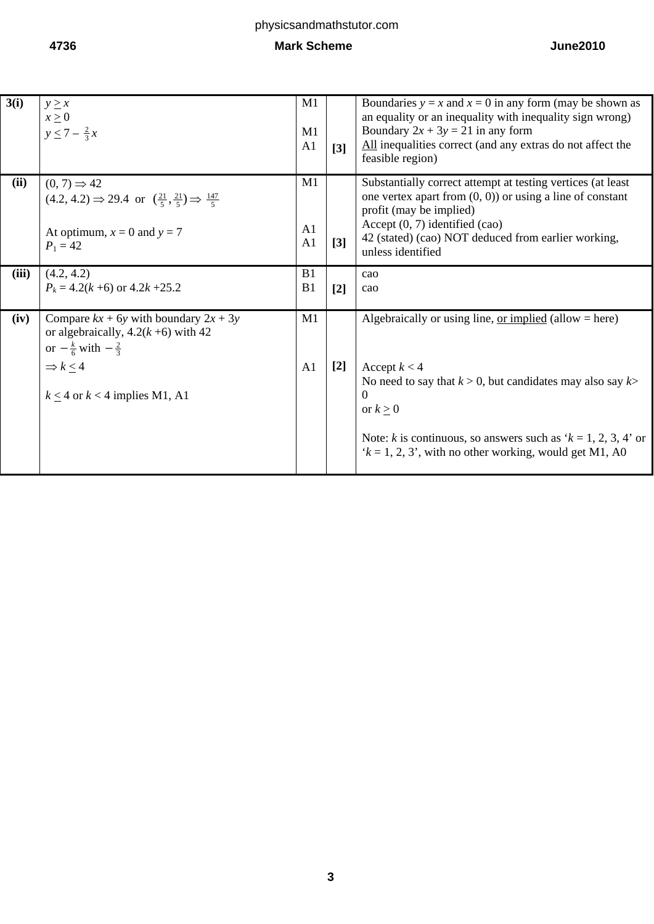| 3(i)  | $y \geq x$<br>$x \geq 0$<br>$y \le 7 - \frac{2}{3}x$                                                                                                                                      | M1<br>M1<br>A1             | $[3]$             | Boundaries $y = x$ and $x = 0$ in any form (may be shown as<br>an equality or an inequality with inequality sign wrong)<br>Boundary $2x + 3y = 21$ in any form<br>All inequalities correct (and any extras do not affect the<br>feasible region)                                                                    |
|-------|-------------------------------------------------------------------------------------------------------------------------------------------------------------------------------------------|----------------------------|-------------------|---------------------------------------------------------------------------------------------------------------------------------------------------------------------------------------------------------------------------------------------------------------------------------------------------------------------|
| (ii)  | $(0, 7) \Rightarrow 42$<br>$(4.2, 4.2) \Rightarrow 29.4$ or $\left(\frac{21}{5}, \frac{21}{5}\right) \Rightarrow \frac{147}{5}$<br>At optimum, $x = 0$ and $y = 7$<br>$P_1 = 42$          | M1<br>A <sub>1</sub><br>A1 | $\lceil 3 \rceil$ | Substantially correct attempt at testing vertices (at least<br>one vertex apart from $(0, 0)$ or using a line of constant<br>profit (may be implied)<br>Accept $(0, 7)$ identified $(cao)$<br>42 (stated) (cao) NOT deduced from earlier working,<br>unless identified                                              |
| (iii) | (4.2, 4.2)<br>$P_k = 4.2(k+6)$ or $4.2k+25.2$                                                                                                                                             | B1<br>B <sub>1</sub>       | $[2]$             | cao<br>cao                                                                                                                                                                                                                                                                                                          |
| (iv)  | Compare $kx + 6y$ with boundary $2x + 3y$<br>or algebraically, $4.2(k+6)$ with 42<br>or $-\frac{k}{6}$ with $-\frac{2}{3}$<br>$\Rightarrow k < 4$<br>$k \leq 4$ or $k < 4$ implies M1, A1 | M1<br>A1                   | $[2]$             | Algebraically or using line, <u>or implied</u> (allow $=$ here)<br>Accept $k < 4$<br>No need to say that $k > 0$ , but candidates may also say $k > 0$<br>$\Omega$<br>or $k \geq 0$<br>Note: k is continuous, so answers such as ' $k = 1, 2, 3, 4$ ' or<br>$k = 1, 2, 3$ , with no other working, would get M1, A0 |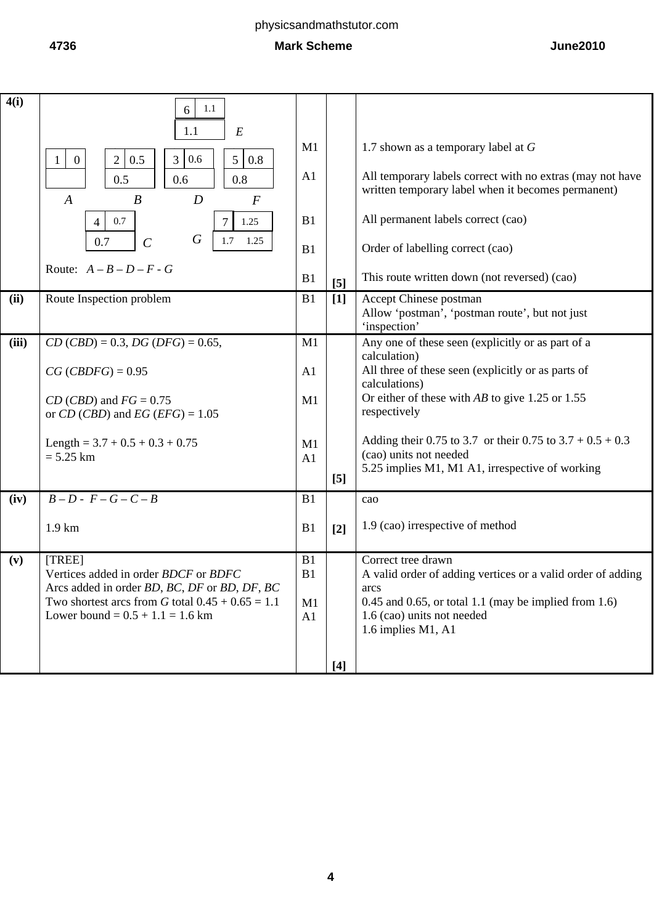#### **4736 Mark Scheme June2010**

| 4(i)  | 1.1<br>6<br>1.1<br>$\cal E$<br>0.6<br>$\mathbf{2}$<br>5 <br>0.8<br>0.5<br>3 <sup>7</sup><br>$\overline{0}$<br>1<br>0.6<br>0.5<br>0.8<br>$\boldsymbol{D}$<br>$\boldsymbol{B}$<br>$\boldsymbol{A}$<br>$\boldsymbol{F}$<br>0.7<br>1.25<br>$\overline{4}$<br>$\boldsymbol{G}$<br>$\mathcal{C}$<br>1.7<br>1.25<br>0.7<br>Route: $A - B - D - F - G$ | M1<br>A <sub>1</sub><br>B1<br>B1<br>B1 | [5]              | 1.7 shown as a temporary label at $G$<br>All temporary labels correct with no extras (may not have<br>written temporary label when it becomes permanent)<br>All permanent labels correct (cao)<br>Order of labelling correct (cao)<br>This route written down (not reversed) (cao) |
|-------|------------------------------------------------------------------------------------------------------------------------------------------------------------------------------------------------------------------------------------------------------------------------------------------------------------------------------------------------|----------------------------------------|------------------|------------------------------------------------------------------------------------------------------------------------------------------------------------------------------------------------------------------------------------------------------------------------------------|
| (ii)  | Route Inspection problem                                                                                                                                                                                                                                                                                                                       | B1                                     | $[1]$            | Accept Chinese postman                                                                                                                                                                                                                                                             |
|       |                                                                                                                                                                                                                                                                                                                                                |                                        |                  | Allow 'postman', 'postman route', but not just                                                                                                                                                                                                                                     |
|       |                                                                                                                                                                                                                                                                                                                                                |                                        |                  | 'inspection'                                                                                                                                                                                                                                                                       |
| (iii) | $CD (CBD) = 0.3, DG (DFG) = 0.65,$                                                                                                                                                                                                                                                                                                             | M1                                     |                  | Any one of these seen (explicitly or as part of a<br>calculation)                                                                                                                                                                                                                  |
|       | $CG (CBDFG) = 0.95$                                                                                                                                                                                                                                                                                                                            | A <sub>1</sub>                         |                  | All three of these seen (explicitly or as parts of                                                                                                                                                                                                                                 |
|       |                                                                                                                                                                                                                                                                                                                                                |                                        |                  | calculations)                                                                                                                                                                                                                                                                      |
|       | $CD (CBD)$ and $FG = 0.75$                                                                                                                                                                                                                                                                                                                     | M1                                     |                  | Or either of these with $AB$ to give 1.25 or 1.55                                                                                                                                                                                                                                  |
|       | or CD (CBD) and EG (EFG) = $1.05$                                                                                                                                                                                                                                                                                                              |                                        |                  | respectively                                                                                                                                                                                                                                                                       |
|       | Length = $3.7 + 0.5 + 0.3 + 0.75$                                                                                                                                                                                                                                                                                                              | M1                                     |                  | Adding their 0.75 to 3.7 or their 0.75 to $3.7 + 0.5 + 0.3$                                                                                                                                                                                                                        |
|       | $= 5.25$ km                                                                                                                                                                                                                                                                                                                                    | A <sub>1</sub>                         |                  | (cao) units not needed                                                                                                                                                                                                                                                             |
|       |                                                                                                                                                                                                                                                                                                                                                |                                        | $\left[5\right]$ | 5.25 implies M1, M1 A1, irrespective of working                                                                                                                                                                                                                                    |
| (iv)  | $B-D-F-G-C-B$                                                                                                                                                                                                                                                                                                                                  | B1                                     |                  | cao                                                                                                                                                                                                                                                                                |
|       | $1.9 \mathrm{km}$                                                                                                                                                                                                                                                                                                                              | B1                                     | $[2]$            | 1.9 (cao) irrespective of method                                                                                                                                                                                                                                                   |
|       |                                                                                                                                                                                                                                                                                                                                                |                                        |                  |                                                                                                                                                                                                                                                                                    |
| (v)   | [TREE]                                                                                                                                                                                                                                                                                                                                         | B1                                     |                  | Correct tree drawn                                                                                                                                                                                                                                                                 |
|       | Vertices added in order BDCF or BDFC<br>Arcs added in order BD, BC, DF or BD, DF, BC                                                                                                                                                                                                                                                           | B1                                     |                  | A valid order of adding vertices or a valid order of adding                                                                                                                                                                                                                        |
|       | Two shortest arcs from G total $0.45 + 0.65 = 1.1$                                                                                                                                                                                                                                                                                             | M1                                     |                  | arcs<br>$0.45$ and $0.65$ , or total 1.1 (may be implied from 1.6)                                                                                                                                                                                                                 |
|       | Lower bound = $0.5 + 1.1 = 1.6$ km                                                                                                                                                                                                                                                                                                             | A1                                     |                  | 1.6 (cao) units not needed                                                                                                                                                                                                                                                         |
|       |                                                                                                                                                                                                                                                                                                                                                |                                        |                  | 1.6 implies M1, A1                                                                                                                                                                                                                                                                 |
|       |                                                                                                                                                                                                                                                                                                                                                |                                        |                  |                                                                                                                                                                                                                                                                                    |
|       |                                                                                                                                                                                                                                                                                                                                                |                                        | $[4]$            |                                                                                                                                                                                                                                                                                    |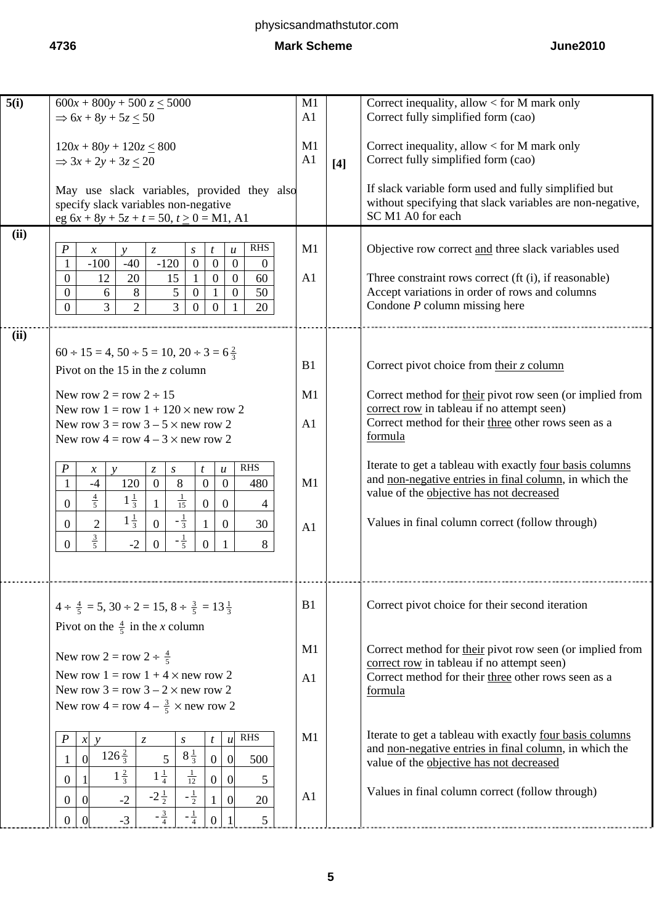| 5(i) | $600x + 800y + 500z \le 5000$                                                                                                                                         | M1             |       | Correct inequality, allow $<$ for M mark only             |
|------|-----------------------------------------------------------------------------------------------------------------------------------------------------------------------|----------------|-------|-----------------------------------------------------------|
|      | $\Rightarrow 6x + 8y + 5z < 50$                                                                                                                                       | A1             |       | Correct fully simplified form (cao)                       |
|      |                                                                                                                                                                       |                |       |                                                           |
|      | $120x + 80y + 120z \le 800$                                                                                                                                           | M1             |       | Correct inequality, allow $<$ for M mark only             |
|      |                                                                                                                                                                       |                |       |                                                           |
|      | $\Rightarrow$ 3x + 2y + 3z $\leq$ 20                                                                                                                                  | A <sub>1</sub> | $[4]$ | Correct fully simplified form (cao)                       |
|      |                                                                                                                                                                       |                |       |                                                           |
|      | May use slack variables, provided they also                                                                                                                           |                |       | If slack variable form used and fully simplified but      |
|      | specify slack variables non-negative                                                                                                                                  |                |       | without specifying that slack variables are non-negative, |
|      | eg $6x + 8y + 5z + t = 50$ , $t \ge 0 = M1$ , A1                                                                                                                      |                |       | SC M1 A0 for each                                         |
| (ii) |                                                                                                                                                                       |                |       |                                                           |
|      | <b>RHS</b><br>$\boldsymbol{P}$<br>$\ensuremath{\mathnormal{Z}}$<br>$\boldsymbol{\mathcal{U}}$<br>$\boldsymbol{\mathcal{X}}$<br>$\mathcal{V}$<br>$\boldsymbol{S}$<br>t | M1             |       | Objective row correct and three slack variables used      |
|      | $\overline{0}$<br>$-100$<br>$-40$<br>$-120$<br>$\overline{0}$<br>1<br>$\overline{0}$<br>$\theta$                                                                      |                |       |                                                           |
|      | $\overline{0}$<br>12<br>20<br>15<br>$\mathbf{0}$<br>60<br>1<br>$\overline{0}$                                                                                         | A1             |       |                                                           |
|      |                                                                                                                                                                       |                |       | Three constraint rows correct (ft (i), if reasonable)     |
|      | 8<br>5<br>50<br>$\overline{0}$<br>$\mathbf{1}$<br>$\mathbf{0}$<br>$\overline{0}$<br>6                                                                                 |                |       | Accept variations in order of rows and columns            |
|      | $\overline{3}$<br>$\overline{2}$<br>$\overline{3}$<br>20<br>$\overline{0}$<br>$\overline{0}$<br>$\overline{0}$                                                        |                |       | Condone $P$ column missing here                           |
|      |                                                                                                                                                                       |                |       |                                                           |
| (ii) |                                                                                                                                                                       |                |       |                                                           |
|      | $60 \div 15 = 4$ , $50 \div 5 = 10$ , $20 \div 3 = 6\frac{2}{3}$                                                                                                      |                |       |                                                           |
|      |                                                                                                                                                                       | B1             |       | Correct pivot choice from their $z$ column                |
|      | Pivot on the 15 in the z column                                                                                                                                       |                |       |                                                           |
|      | New row $2 = row 2 \div 15$                                                                                                                                           | M1             |       | Correct method for their pivot row seen (or implied from  |
|      |                                                                                                                                                                       |                |       | correct row in tableau if no attempt seen)                |
|      | New row $1 = row 1 + 120 \times new row 2$                                                                                                                            |                |       |                                                           |
|      | New row $3 = row 3 - 5 \times new row 2$                                                                                                                              | A1             |       | Correct method for their three other rows seen as a       |
|      | New row $4 = row 4 - 3 \times new row 2$                                                                                                                              |                |       | formula                                                   |
|      |                                                                                                                                                                       |                |       |                                                           |
|      | <b>RHS</b><br>$\boldsymbol{P}$<br>$\boldsymbol{S}$<br>$\boldsymbol{u}$<br>$\mathcal{V}$<br>$\mathcal{Z}$<br>t<br>$\mathcal{X}$                                        |                |       | Iterate to get a tableau with exactly four basis columns  |
|      | $\overline{0}$<br>120<br>8<br>$\mathbf{0}$<br>$-4$<br>$\mathbf{0}$<br>$\mathbf{1}$<br>480                                                                             | M1             |       | and non-negative entries in final column, in which the    |
|      |                                                                                                                                                                       |                |       | value of the objective has not decreased                  |
|      | $rac{4}{5}$<br>$\frac{1}{15}$<br>$1\frac{1}{3}$<br>$\overline{0}$<br>$\mathbf{1}$<br>$\overline{0}$<br>$\boldsymbol{0}$<br>4                                          |                |       |                                                           |
|      | $1\frac{1}{3}$<br>$-\frac{1}{3}$<br>$\overline{2}$<br>$\overline{0}$<br>$\mathbf{0}$<br>$\overline{0}$<br>30<br>1                                                     |                |       | Values in final column correct (follow through)           |
|      |                                                                                                                                                                       | A <sub>1</sub> |       |                                                           |
|      | $rac{3}{5}$<br>$-\frac{1}{5}$<br>$-2$<br>$\overline{0}$<br>$\overline{0}$<br>$\Omega$<br>8<br>1                                                                       |                |       |                                                           |
|      |                                                                                                                                                                       |                |       |                                                           |
|      |                                                                                                                                                                       |                |       |                                                           |
|      |                                                                                                                                                                       |                |       |                                                           |
|      |                                                                                                                                                                       | B1             |       | Correct pivot choice for their second iteration           |
|      | $4 \div \frac{4}{5} = 5$ , $30 \div 2 = 15$ , $8 \div \frac{3}{5} = 13\frac{1}{3}$                                                                                    |                |       |                                                           |
|      | Pivot on the $\frac{4}{5}$ in the <i>x</i> column                                                                                                                     |                |       |                                                           |
|      |                                                                                                                                                                       |                |       |                                                           |
|      | New row 2 = row 2 $\div \frac{4}{5}$                                                                                                                                  | M1             |       | Correct method for their pivot row seen (or implied from  |
|      |                                                                                                                                                                       |                |       | correct row in tableau if no attempt seen)                |
|      | New row $1 = row 1 + 4 \times new row 2$                                                                                                                              | A <sub>1</sub> |       | Correct method for their three other rows seen as a       |
|      | New row $3 = row 3 - 2 \times new row 2$                                                                                                                              |                |       | formula                                                   |
|      | New row $4 = \text{row } 4 - \frac{3}{5} \times \text{new row } 2$                                                                                                    |                |       |                                                           |
|      |                                                                                                                                                                       |                |       |                                                           |
|      | <b>RHS</b>                                                                                                                                                            | M1             |       | Iterate to get a tableau with exactly four basis columns  |
|      | $\ensuremath{\mathnormal{Z}}$<br>$x \ y$<br>$\boldsymbol{S}$<br>t<br>$\boldsymbol{u}$                                                                                 |                |       | and non-negative entries in final column, in which the    |
|      | $126\frac{2}{3}$<br>$8\frac{1}{3}$<br>$\overline{0}$<br>5 <sup>5</sup><br>$\mathbf{0}$<br>500<br>$\overline{0}$                                                       |                |       | value of the objective has not decreased                  |
|      | $1\frac{1}{4}$<br>$\frac{1}{12}$<br>$1\frac{2}{3}$                                                                                                                    |                |       |                                                           |
|      | $\boldsymbol{0}$<br>$\overline{0}$<br>$\overline{0}$<br>5                                                                                                             |                |       |                                                           |
|      | $-2\frac{1}{2}$<br>$-\frac{1}{2}$<br>$-2$<br>$\overline{0}$<br>$\overline{0}$<br>20<br>$\overline{0}$<br>1                                                            | A <sub>1</sub> |       | Values in final column correct (follow through)           |
|      | $-\frac{3}{4}$<br>$-\frac{1}{4}$                                                                                                                                      |                |       |                                                           |
|      | $-3$<br>$\boldsymbol{0}$<br>$\mathfrak{S}$<br>$\overline{0}$<br>$\overline{0}$                                                                                        |                |       |                                                           |